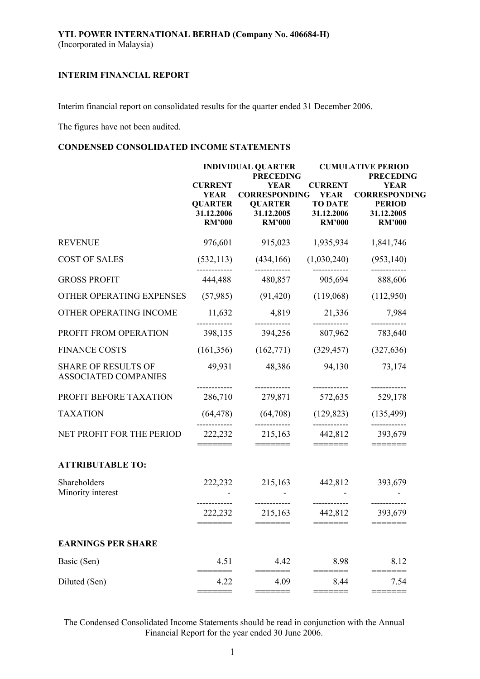Interim financial report on consolidated results for the quarter ended 31 December 2006.

The figures have not been audited.

# **CONDENSED CONSOLIDATED INCOME STATEMENTS**

|                                                           |                                                                                | <b>INDIVIDUAL QUARTER</b>                                                                                |                                                                                | <b>CUMULATIVE PERIOD</b>                                                                                |  |  |
|-----------------------------------------------------------|--------------------------------------------------------------------------------|----------------------------------------------------------------------------------------------------------|--------------------------------------------------------------------------------|---------------------------------------------------------------------------------------------------------|--|--|
|                                                           | <b>CURRENT</b><br><b>YEAR</b><br><b>QUARTER</b><br>31.12.2006<br><b>RM'000</b> | <b>PRECEDING</b><br><b>YEAR</b><br><b>CORRESPONDING</b><br><b>QUARTER</b><br>31.12.2005<br><b>RM'000</b> | <b>CURRENT</b><br><b>YEAR</b><br><b>TO DATE</b><br>31.12.2006<br><b>RM'000</b> | <b>PRECEDING</b><br><b>YEAR</b><br><b>CORRESPONDING</b><br><b>PERIOD</b><br>31.12.2005<br><b>RM'000</b> |  |  |
| <b>REVENUE</b>                                            | 976,601                                                                        | 915,023                                                                                                  | 1,935,934                                                                      | 1,841,746                                                                                               |  |  |
| <b>COST OF SALES</b>                                      | (532, 113)                                                                     | (434, 166)                                                                                               | (1,030,240)                                                                    | (953, 140)                                                                                              |  |  |
| <b>GROSS PROFIT</b>                                       | 444,488                                                                        | 480,857                                                                                                  | 905,694                                                                        | 888,606                                                                                                 |  |  |
| OTHER OPERATING EXPENSES                                  | (57,985)                                                                       | (91, 420)                                                                                                | (119,068)                                                                      | (112,950)                                                                                               |  |  |
| OTHER OPERATING INCOME                                    | 11,632                                                                         | 4,819                                                                                                    | 21,336                                                                         | 7,984                                                                                                   |  |  |
| PROFIT FROM OPERATION                                     | 398,135                                                                        | 394,256                                                                                                  | 807,962                                                                        | 783,640                                                                                                 |  |  |
| <b>FINANCE COSTS</b>                                      | (161, 356)                                                                     | (162,771)                                                                                                | (329, 457)                                                                     | (327, 636)                                                                                              |  |  |
| <b>SHARE OF RESULTS OF</b><br><b>ASSOCIATED COMPANIES</b> | 49,931                                                                         | 48,386                                                                                                   | 94,130                                                                         | 73,174                                                                                                  |  |  |
| PROFIT BEFORE TAXATION                                    | 286,710                                                                        | 279,871                                                                                                  | ------------<br>572,635                                                        | ------------<br>529,178                                                                                 |  |  |
| <b>TAXATION</b>                                           | (64, 478)                                                                      | (64, 708)                                                                                                | (129, 823)                                                                     | (135, 499)                                                                                              |  |  |
| NET PROFIT FOR THE PERIOD                                 | 222,232                                                                        | 215,163<br>=======                                                                                       | ------------<br>442,812                                                        | 393,679                                                                                                 |  |  |
| <b>ATTRIBUTABLE TO:</b>                                   |                                                                                |                                                                                                          |                                                                                |                                                                                                         |  |  |
| Shareholders<br>Minority interest                         | 222,232                                                                        | 215,163                                                                                                  | 442,812                                                                        | 393,679                                                                                                 |  |  |
|                                                           | 222,232<br>=======                                                             | ------------<br>215,163<br>$=======$                                                                     | 442,812<br>$=======$                                                           | 393,679<br>========                                                                                     |  |  |
| <b>EARNINGS PER SHARE</b>                                 |                                                                                |                                                                                                          |                                                                                |                                                                                                         |  |  |
| Basic (Sen)                                               | 4.51                                                                           | 4.42                                                                                                     | 8.98                                                                           | 8.12                                                                                                    |  |  |
| Diluted (Sen)                                             | 4.22<br>====                                                                   | 4.09<br>====                                                                                             | 8.44                                                                           | 7.54<br>$= == ==$                                                                                       |  |  |

The Condensed Consolidated Income Statements should be read in conjunction with the Annual Financial Report for the year ended 30 June 2006.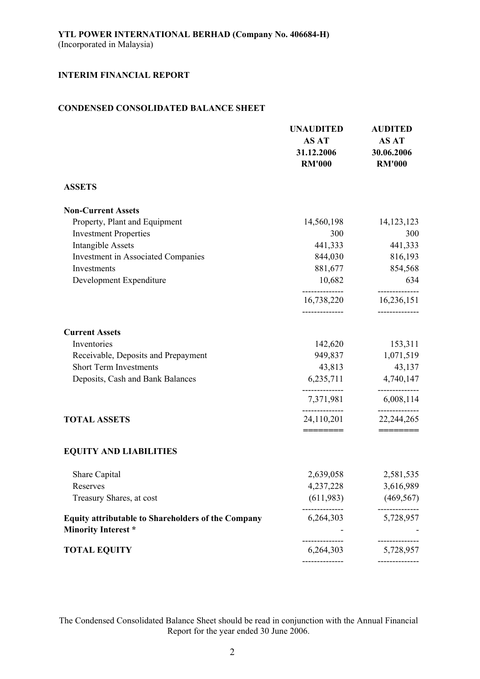# **CONDENSED CONSOLIDATED BALANCE SHEET**

|                                                                                  | <b>UNAUDITED</b><br><b>AS AT</b><br>31.12.2006<br><b>RM'000</b> | <b>AUDITED</b><br><b>AS AT</b><br>30.06.2006<br><b>RM'000</b> |
|----------------------------------------------------------------------------------|-----------------------------------------------------------------|---------------------------------------------------------------|
| <b>ASSETS</b>                                                                    |                                                                 |                                                               |
| <b>Non-Current Assets</b>                                                        |                                                                 |                                                               |
| Property, Plant and Equipment                                                    | 14,560,198                                                      | 14, 123, 123                                                  |
| <b>Investment Properties</b>                                                     | 300                                                             | 300                                                           |
| <b>Intangible Assets</b>                                                         | 441,333                                                         | 441,333                                                       |
| <b>Investment in Associated Companies</b>                                        | 844,030                                                         | 816,193                                                       |
| Investments                                                                      | 881,677                                                         | 854,568                                                       |
| Development Expenditure                                                          | 10,682                                                          | 634                                                           |
|                                                                                  | 16,738,220                                                      | --------------<br>16,236,151                                  |
| <b>Current Assets</b>                                                            |                                                                 |                                                               |
| Inventories                                                                      | 142,620                                                         | 153,311                                                       |
| Receivable, Deposits and Prepayment                                              | 949,837                                                         | 1,071,519                                                     |
| <b>Short Term Investments</b>                                                    | 43,813                                                          | 43,137                                                        |
| Deposits, Cash and Bank Balances                                                 | 6,235,711                                                       | 4,740,147                                                     |
|                                                                                  | 7,371,981                                                       | 6,008,114                                                     |
| <b>TOTAL ASSETS</b>                                                              | 24,110,201<br>========                                          | 22, 244, 265<br>=======                                       |
| <b>EQUITY AND LIABILITIES</b>                                                    |                                                                 |                                                               |
| Share Capital                                                                    | 2,639,058                                                       | 2,581,535                                                     |
| Reserves                                                                         | 4,237,228                                                       | 3,616,989                                                     |
| Treasury Shares, at cost                                                         | (611,983)                                                       | (469, 567)                                                    |
| Equity attributable to Shareholders of the Company<br><b>Minority Interest</b> * | 6,264,303                                                       | 5,728,957                                                     |
| <b>TOTAL EQUITY</b>                                                              | 6,264,303                                                       | 5,728,957                                                     |
|                                                                                  | --------------                                                  | -----------                                                   |

The Condensed Consolidated Balance Sheet should be read in conjunction with the Annual Financial Report for the year ended 30 June 2006.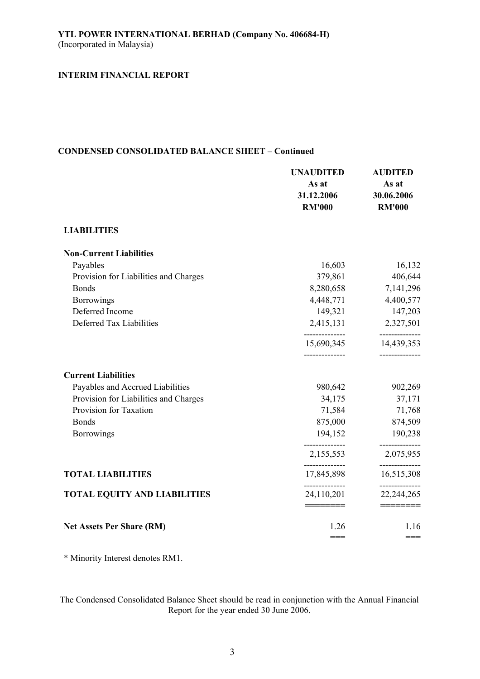# **CONDENSED CONSOLIDATED BALANCE SHEET – Continued**

|                                       | <b>UNAUDITED</b><br>As at<br>31.12.2006<br><b>RM'000</b> | <b>AUDITED</b><br>As at<br>30.06.2006<br><b>RM'000</b> |
|---------------------------------------|----------------------------------------------------------|--------------------------------------------------------|
| <b>LIABILITIES</b>                    |                                                          |                                                        |
| <b>Non-Current Liabilities</b>        |                                                          |                                                        |
| Payables                              | 16,603                                                   | 16,132                                                 |
| Provision for Liabilities and Charges | 379,861                                                  | 406,644                                                |
| <b>Bonds</b>                          | 8,280,658                                                | 7,141,296                                              |
| <b>Borrowings</b>                     | 4,448,771                                                | 4,400,577                                              |
| Deferred Income                       | 149,321                                                  | 147,203                                                |
| Deferred Tax Liabilities              | 2,415,131<br>--------------                              | 2,327,501<br>---------                                 |
|                                       | 15,690,345<br>--------------                             | 14,439,353<br>--------------                           |
| <b>Current Liabilities</b>            |                                                          |                                                        |
| Payables and Accrued Liabilities      | 980,642                                                  | 902,269                                                |
| Provision for Liabilities and Charges | 34,175                                                   | 37,171                                                 |
| Provision for Taxation                | 71,584                                                   | 71,768                                                 |
| <b>Bonds</b>                          | 875,000                                                  | 874,509                                                |
| <b>Borrowings</b>                     | 194,152                                                  | 190,238                                                |
|                                       | 2,155,553                                                | 2,075,955                                              |
| <b>TOTAL LIABILITIES</b>              | 17,845,898                                               | ---------<br>16,515,308                                |
| <b>TOTAL EQUITY AND LIABILITIES</b>   | --------------<br>24,110,201<br>________                 | ----------<br>22,244,265<br>_______                    |
| <b>Net Assets Per Share (RM)</b>      | 1.26<br>$=$ $=$                                          | 1.16<br>$==$                                           |

\* Minority Interest denotes RM1.

The Condensed Consolidated Balance Sheet should be read in conjunction with the Annual Financial Report for the year ended 30 June 2006.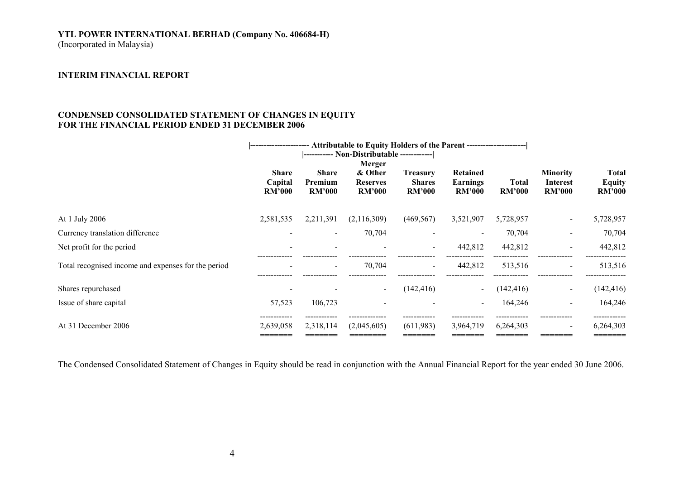# **YTL POWER INTERNATIONAL BERHAD (Company No. 406684-H)**

(Incorporated in Malaysia)

### **INTERIM FINANCIAL REPORT**

# **CONDENSED CONSOLIDATED STATEMENT OF CHANGES IN EQUITY FOR THE FINANCIAL PERIOD ENDED 31 DECEMBER 2006**

|                                                     | -- Attributable to Equity Holders of the Parent ----------------------<br> ------------------ |                                          |                                                       |                                                   |                                              |                        |                                                     |                                                |
|-----------------------------------------------------|-----------------------------------------------------------------------------------------------|------------------------------------------|-------------------------------------------------------|---------------------------------------------------|----------------------------------------------|------------------------|-----------------------------------------------------|------------------------------------------------|
|                                                     | <b>Share</b><br>Capital<br><b>RM'000</b>                                                      | <b>Share</b><br>Premium<br><b>RM'000</b> | Merger<br>& Other<br><b>Reserves</b><br><b>RM'000</b> | <b>Treasury</b><br><b>Shares</b><br><b>RM'000</b> | Retained<br><b>Earnings</b><br><b>RM'000</b> | Total<br><b>RM'000</b> | <b>Minority</b><br><b>Interest</b><br><b>RM'000</b> | <b>Total</b><br><b>Equity</b><br><b>RM'000</b> |
| At 1 July 2006                                      | 2,581,535                                                                                     | 2,211,391                                | (2,116,309)                                           | (469, 567)                                        | 3,521,907                                    | 5,728,957              | $\sim$                                              | 5,728,957                                      |
| Currency translation difference                     |                                                                                               | $\overline{\phantom{a}}$                 | 70,704                                                |                                                   |                                              | 70,704                 | $\qquad \qquad \blacksquare$                        | 70,704                                         |
| Net profit for the period                           |                                                                                               |                                          |                                                       | $\sim$                                            | 442,812                                      | 442,812                | $\blacksquare$                                      | 442,812                                        |
| Total recognised income and expenses for the period |                                                                                               | $\overline{\phantom{a}}$                 | 70,704                                                | $\blacksquare$                                    | 442,812                                      | 513,516                | $\blacksquare$                                      | 513,516                                        |
| Shares repurchased                                  |                                                                                               |                                          |                                                       | (142, 416)                                        |                                              | (142, 416)             | $\blacksquare$                                      | (142, 416)                                     |
| Issue of share capital                              | 57,523                                                                                        | 106,723                                  |                                                       |                                                   |                                              | 164,246                | $\sim$                                              | 164,246                                        |
| At 31 December 2006                                 | 2,639,058                                                                                     | 2,318,114                                | (2,045,605)                                           | (611,983)                                         | 3,964,719                                    | 6,264,303              | $\sim$                                              | 6,264,303<br>======                            |

The Condensed Consolidated Statement of Changes in Equity should be read in conjunction with the Annual Financial Report for the year ended 30 June 2006.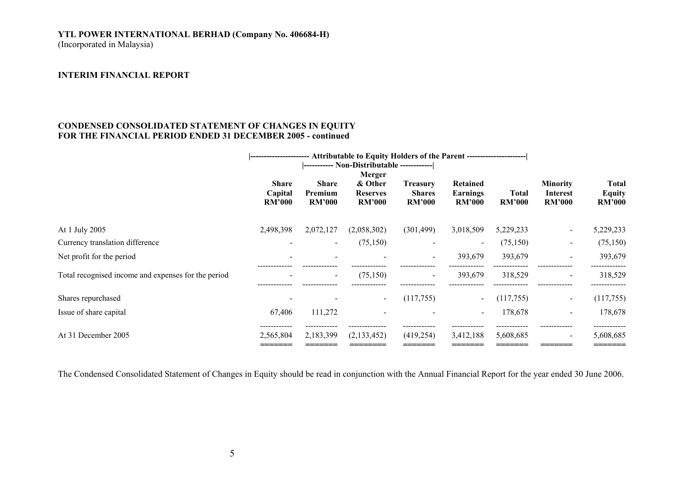# **YTL POWER INTERNATIONAL BERHAD (Company No. 406684-H)**  (Incorporated in Malaysia)

#### **INTERIM FINANCIAL REPORT**

## **CONDENSED CONSOLIDATED STATEMENT OF CHANGES IN EQUITY FOR THE FINANCIAL PERIOD ENDED 31 DECEMBER 2005 - continued**

|                                                     | ---------------------- Attributable to Equity Holders of the Parent --------------------- |                                          |                                                       |                                                   |                                              |                               |                                                     |                                                |
|-----------------------------------------------------|-------------------------------------------------------------------------------------------|------------------------------------------|-------------------------------------------------------|---------------------------------------------------|----------------------------------------------|-------------------------------|-----------------------------------------------------|------------------------------------------------|
|                                                     | <b>Share</b><br>Capital<br><b>RM'000</b>                                                  | <b>Share</b><br>Premium<br><b>RM'000</b> | Merger<br>& Other<br><b>Reserves</b><br><b>RM'000</b> | <b>Treasury</b><br><b>Shares</b><br><b>RM'000</b> | Retained<br><b>Earnings</b><br><b>RM'000</b> | <b>Total</b><br><b>RM'000</b> | <b>Minority</b><br><b>Interest</b><br><b>RM'000</b> | <b>Total</b><br><b>Equity</b><br><b>RM'000</b> |
| At 1 July 2005                                      | 2,498,398                                                                                 | 2,072,127                                | (2,058,302)                                           | (301, 499)                                        | 3,018,509                                    | 5,229,233                     | $\sim$                                              | 5,229,233                                      |
| Currency translation difference                     |                                                                                           | $\blacksquare$                           | (75, 150)                                             | $\sim$                                            | $\,$                                         | (75, 150)                     | $\sim$                                              | (75,150)                                       |
| Net profit for the period                           |                                                                                           | $\overline{\phantom{a}}$                 |                                                       | $\sim$                                            | 393,679                                      | 393,679                       | $\blacksquare$                                      | 393,679                                        |
| Total recognised income and expenses for the period |                                                                                           | $\overline{\phantom{a}}$                 | (75, 150)                                             | $\overline{\phantom{0}}$                          | 393,679                                      | 318,529                       | $\qquad \qquad \blacksquare$                        | 318,529                                        |
| Shares repurchased                                  |                                                                                           |                                          |                                                       | (117,755)                                         |                                              | (117,755)                     | $\sim$                                              | (117,755)                                      |
| Issue of share capital                              | 67,406                                                                                    | 111,272                                  |                                                       |                                                   |                                              | 178,678                       | $\blacksquare$                                      | 178,678                                        |
| At 31 December 2005                                 | .<br>2,565,804                                                                            | 2,183,399                                | (2,133,452)                                           | (419, 254)                                        | 3,412,188                                    | 5,608,685                     | $\overline{\phantom{a}}$                            | 5,608,685                                      |

The Condensed Consolidated Statement of Changes in Equity should be read in conjunction with the Annual Financial Report for the year ended 30 June 2006.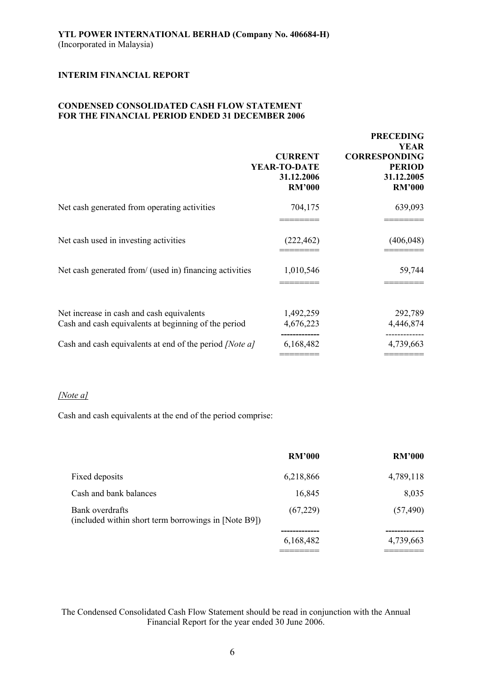# **CONDENSED CONSOLIDATED CASH FLOW STATEMENT FOR THE FINANCIAL PERIOD ENDED 31 DECEMBER 2006**

| <b>CURRENT</b><br>YEAR-TO-DATE<br>31.12.2006<br><b>RM'000</b>                  | <b>PRECEDING</b><br><b>YEAR</b><br><b>CORRESPONDING</b><br><b>PERIOD</b><br>31.12.2005<br><b>RM'000</b> |
|--------------------------------------------------------------------------------|---------------------------------------------------------------------------------------------------------|
| 704,175                                                                        | 639,093                                                                                                 |
| (222, 462)                                                                     | (406, 048)                                                                                              |
| Net cash generated from/ (used in) financing activities<br>1,010,546           | 59,744                                                                                                  |
| 1,492,259<br>Cash and cash equivalents at beginning of the period<br>4,676,223 | 292,789<br>4,446,874                                                                                    |
| Cash and cash equivalents at end of the period <i>[Note a]</i><br>6,168,482    | 4,739,663                                                                                               |
|                                                                                |                                                                                                         |

# *[Note a]*

Cash and cash equivalents at the end of the period comprise:

|                                                                         | <b>RM'000</b> | <b>RM'000</b> |
|-------------------------------------------------------------------------|---------------|---------------|
| Fixed deposits                                                          | 6,218,866     | 4,789,118     |
| Cash and bank balances                                                  | 16,845        | 8,035         |
| Bank overdrafts<br>(included within short term borrowings in [Note B9]) | (67,229)      | (57, 490)     |
|                                                                         | 6,168,482     | 4,739,663     |
|                                                                         |               |               |

The Condensed Consolidated Cash Flow Statement should be read in conjunction with the Annual Financial Report for the year ended 30 June 2006.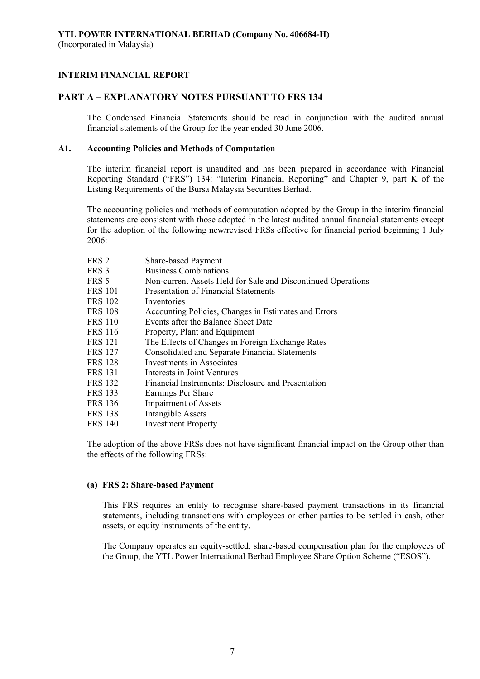# **PART A – EXPLANATORY NOTES PURSUANT TO FRS 134**

The Condensed Financial Statements should be read in conjunction with the audited annual financial statements of the Group for the year ended 30 June 2006.

# **A1. Accounting Policies and Methods of Computation**

The interim financial report is unaudited and has been prepared in accordance with Financial Reporting Standard ("FRS") 134: "Interim Financial Reporting" and Chapter 9, part K of the Listing Requirements of the Bursa Malaysia Securities Berhad.

The accounting policies and methods of computation adopted by the Group in the interim financial statements are consistent with those adopted in the latest audited annual financial statements except for the adoption of the following new/revised FRSs effective for financial period beginning 1 July 2006:

| FRS <sub>2</sub> | Share-based Payment                                          |
|------------------|--------------------------------------------------------------|
| FRS 3            | <b>Business Combinations</b>                                 |
| FRS 5            | Non-current Assets Held for Sale and Discontinued Operations |
| <b>FRS 101</b>   | Presentation of Financial Statements                         |
| <b>FRS 102</b>   | Inventories                                                  |
| <b>FRS 108</b>   | Accounting Policies, Changes in Estimates and Errors         |
| <b>FRS 110</b>   | Events after the Balance Sheet Date                          |
| FRS 116          | Property, Plant and Equipment                                |
| FRS 121          | The Effects of Changes in Foreign Exchange Rates             |
| <b>FRS 127</b>   | <b>Consolidated and Separate Financial Statements</b>        |
| FRS 128          | Investments in Associates                                    |
| FRS 131          | Interests in Joint Ventures                                  |
| <b>FRS 132</b>   | Financial Instruments: Disclosure and Presentation           |
| FRS 133          | Earnings Per Share                                           |
| <b>FRS 136</b>   | <b>Impairment of Assets</b>                                  |
| <b>FRS 138</b>   | Intangible Assets                                            |
| FRS 140          | <b>Investment Property</b>                                   |
|                  |                                                              |

The adoption of the above FRSs does not have significant financial impact on the Group other than the effects of the following FRSs:

#### **(a) FRS 2: Share-based Payment**

This FRS requires an entity to recognise share-based payment transactions in its financial statements, including transactions with employees or other parties to be settled in cash, other assets, or equity instruments of the entity.

The Company operates an equity-settled, share-based compensation plan for the employees of the Group, the YTL Power International Berhad Employee Share Option Scheme ("ESOS").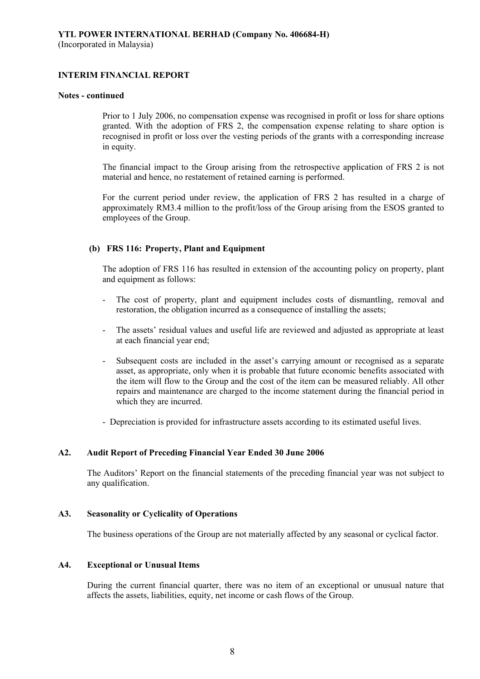#### **Notes - continued**

Prior to 1 July 2006, no compensation expense was recognised in profit or loss for share options granted. With the adoption of FRS 2, the compensation expense relating to share option is recognised in profit or loss over the vesting periods of the grants with a corresponding increase in equity.

The financial impact to the Group arising from the retrospective application of FRS 2 is not material and hence, no restatement of retained earning is performed.

For the current period under review, the application of FRS 2 has resulted in a charge of approximately RM3.4 million to the profit/loss of the Group arising from the ESOS granted to employees of the Group.

# **(b) FRS 116: Property, Plant and Equipment**

The adoption of FRS 116 has resulted in extension of the accounting policy on property, plant and equipment as follows:

- The cost of property, plant and equipment includes costs of dismantling, removal and restoration, the obligation incurred as a consequence of installing the assets;
- The assets' residual values and useful life are reviewed and adjusted as appropriate at least at each financial year end;
- Subsequent costs are included in the asset's carrying amount or recognised as a separate asset, as appropriate, only when it is probable that future economic benefits associated with the item will flow to the Group and the cost of the item can be measured reliably. All other repairs and maintenance are charged to the income statement during the financial period in which they are incurred.
- Depreciation is provided for infrastructure assets according to its estimated useful lives.

# **A2. Audit Report of Preceding Financial Year Ended 30 June 2006**

 The Auditors' Report on the financial statements of the preceding financial year was not subject to any qualification.

# **A3. Seasonality or Cyclicality of Operations**

The business operations of the Group are not materially affected by any seasonal or cyclical factor.

# **A4. Exceptional or Unusual Items**

 During the current financial quarter, there was no item of an exceptional or unusual nature that affects the assets, liabilities, equity, net income or cash flows of the Group.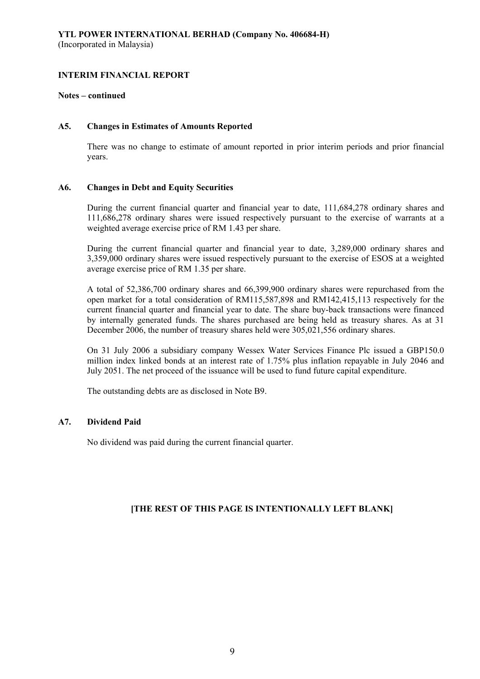### **Notes – continued**

### **A5. Changes in Estimates of Amounts Reported**

 There was no change to estimate of amount reported in prior interim periods and prior financial years.

# **A6. Changes in Debt and Equity Securities**

 During the current financial quarter and financial year to date, 111,684,278 ordinary shares and 111,686,278 ordinary shares were issued respectively pursuant to the exercise of warrants at a weighted average exercise price of RM 1.43 per share.

 During the current financial quarter and financial year to date, 3,289,000 ordinary shares and 3,359,000 ordinary shares were issued respectively pursuant to the exercise of ESOS at a weighted average exercise price of RM 1.35 per share.

 A total of 52,386,700 ordinary shares and 66,399,900 ordinary shares were repurchased from the open market for a total consideration of RM115,587,898 and RM142,415,113 respectively for the current financial quarter and financial year to date. The share buy-back transactions were financed by internally generated funds. The shares purchased are being held as treasury shares. As at 31 December 2006, the number of treasury shares held were 305,021,556 ordinary shares.

 On 31 July 2006 a subsidiary company Wessex Water Services Finance Plc issued a GBP150.0 million index linked bonds at an interest rate of 1.75% plus inflation repayable in July 2046 and July 2051. The net proceed of the issuance will be used to fund future capital expenditure.

The outstanding debts are as disclosed in Note B9.

# **A7. Dividend Paid**

No dividend was paid during the current financial quarter.

# **[THE REST OF THIS PAGE IS INTENTIONALLY LEFT BLANK]**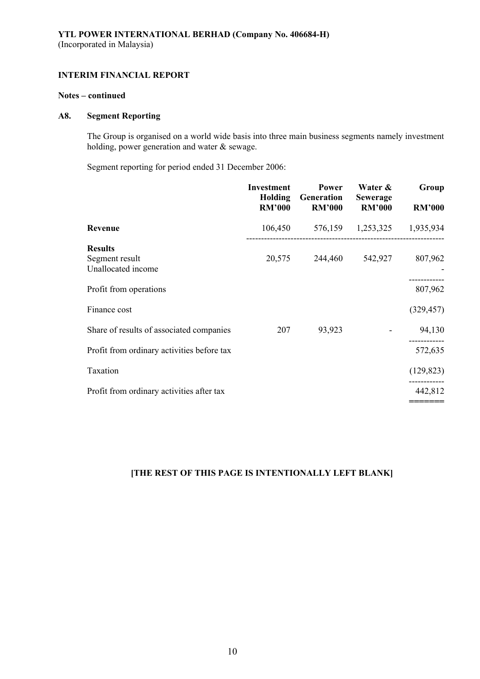# **Notes – continued**

# **A8. Segment Reporting**

 The Group is organised on a world wide basis into three main business segments namely investment holding, power generation and water & sewage.

Segment reporting for period ended 31 December 2006:

|                                                        | <b>Investment</b><br>Holding<br><b>RM'000</b> | Power<br>Generation<br><b>RM'000</b> | Water &<br><b>Sewerage</b><br><b>RM'000</b> | Group<br><b>RM'000</b> |
|--------------------------------------------------------|-----------------------------------------------|--------------------------------------|---------------------------------------------|------------------------|
| Revenue                                                | 106,450                                       | 576,159                              | 1,253,325                                   | 1,935,934              |
| <b>Results</b><br>Segment result<br>Unallocated income | 20,575                                        | 244,460                              | 542,927                                     | 807,962                |
| Profit from operations                                 |                                               |                                      |                                             | 807,962                |
| Finance cost                                           |                                               |                                      |                                             | (329, 457)             |
| Share of results of associated companies               | 207                                           | 93,923                               |                                             | 94,130                 |
| Profit from ordinary activities before tax             |                                               |                                      |                                             | 572,635                |
| Taxation                                               |                                               |                                      |                                             | (129, 823)             |
| Profit from ordinary activities after tax              |                                               |                                      |                                             | 442,812                |
|                                                        |                                               |                                      |                                             |                        |

# **[THE REST OF THIS PAGE IS INTENTIONALLY LEFT BLANK]**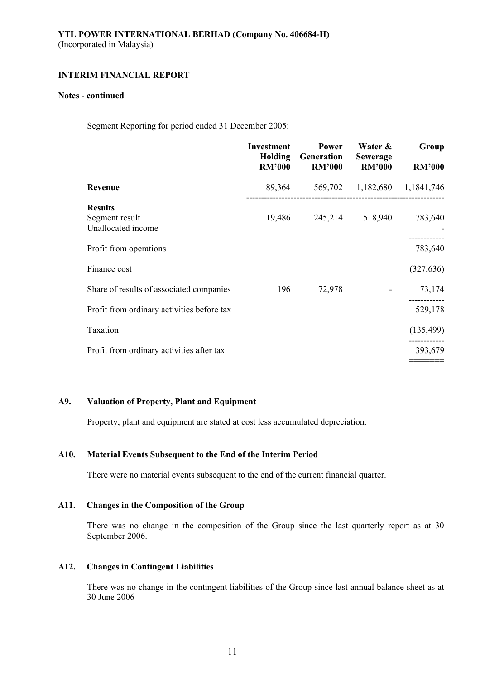### **Notes - continued**

Segment Reporting for period ended 31 December 2005:

|                                                        | <b>Investment</b><br>Holding<br><b>RM'000</b> | Power<br>Generation<br><b>RM'000</b> | Water &<br><b>Sewerage</b><br><b>RM'000</b> | Group<br><b>RM'000</b> |
|--------------------------------------------------------|-----------------------------------------------|--------------------------------------|---------------------------------------------|------------------------|
| Revenue                                                | 89,364                                        | 569,702                              | 1,182,680                                   | 1,1841,746             |
| <b>Results</b><br>Segment result<br>Unallocated income | 19,486                                        | 245,214                              | 518,940                                     | 783,640                |
| Profit from operations                                 |                                               |                                      |                                             | 783,640                |
| Finance cost                                           |                                               |                                      |                                             | (327, 636)             |
| Share of results of associated companies               | 196                                           | 72,978                               |                                             | 73,174                 |
| Profit from ordinary activities before tax             |                                               |                                      |                                             | 529,178                |
| Taxation                                               |                                               |                                      |                                             | (135, 499)             |
| Profit from ordinary activities after tax              |                                               |                                      |                                             | 393,679                |
|                                                        |                                               |                                      |                                             |                        |

# **A9. Valuation of Property, Plant and Equipment**

Property, plant and equipment are stated at cost less accumulated depreciation.

# **A10. Material Events Subsequent to the End of the Interim Period**

There were no material events subsequent to the end of the current financial quarter.

### **A11. Changes in the Composition of the Group**

There was no change in the composition of the Group since the last quarterly report as at 30 September 2006.

### **A12. Changes in Contingent Liabilities**

There was no change in the contingent liabilities of the Group since last annual balance sheet as at 30 June 2006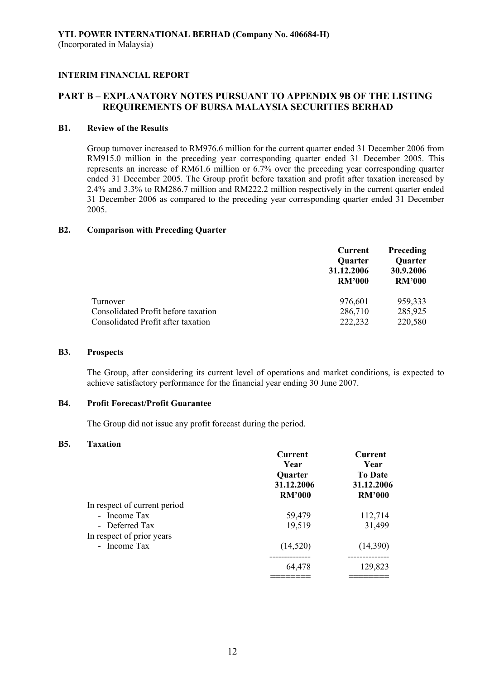# **PART B – EXPLANATORY NOTES PURSUANT TO APPENDIX 9B OF THE LISTING REQUIREMENTS OF BURSA MALAYSIA SECURITIES BERHAD**

# **B1. Review of the Results**

 Group turnover increased to RM976.6 million for the current quarter ended 31 December 2006 from RM915.0 million in the preceding year corresponding quarter ended 31 December 2005. This represents an increase of RM61.6 million or 6.7% over the preceding year corresponding quarter ended 31 December 2005. The Group profit before taxation and profit after taxation increased by 2.4% and 3.3% to RM286.7 million and RM222.2 million respectively in the current quarter ended 31 December 2006 as compared to the preceding year corresponding quarter ended 31 December 2005.

### **B2. Comparison with Preceding Quarter**

|                                                                           | Current<br>Quarter          | <b>Preceding</b><br>Quarter |
|---------------------------------------------------------------------------|-----------------------------|-----------------------------|
|                                                                           | 31.12.2006<br><b>RM'000</b> | 30.9.2006<br><b>RM'000</b>  |
| Turnover                                                                  | 976,601                     | 959,333                     |
| Consolidated Profit before taxation<br>Consolidated Profit after taxation | 286,710<br>222,232          | 285,925<br>220,580          |

#### **B3. Prospects**

The Group, after considering its current level of operations and market conditions, is expected to achieve satisfactory performance for the financial year ending 30 June 2007.

# **B4. Profit Forecast/Profit Guarantee**

The Group did not issue any profit forecast during the period.

### **B5. Taxation**

|                              | Current<br>Year<br>Quarter<br>31.12.2006<br><b>RM'000</b> | <b>Current</b><br>Year<br><b>To Date</b><br>31.12.2006<br><b>RM'000</b> |
|------------------------------|-----------------------------------------------------------|-------------------------------------------------------------------------|
| In respect of current period |                                                           |                                                                         |
| - Income Tax                 | 59,479                                                    | 112,714                                                                 |
| - Deferred Tax               | 19,519                                                    | 31,499                                                                  |
| In respect of prior years    |                                                           |                                                                         |
| - Income Tax                 | (14, 520)                                                 | (14,390)                                                                |
|                              |                                                           |                                                                         |
|                              | 64,478                                                    | 129,823                                                                 |
|                              |                                                           |                                                                         |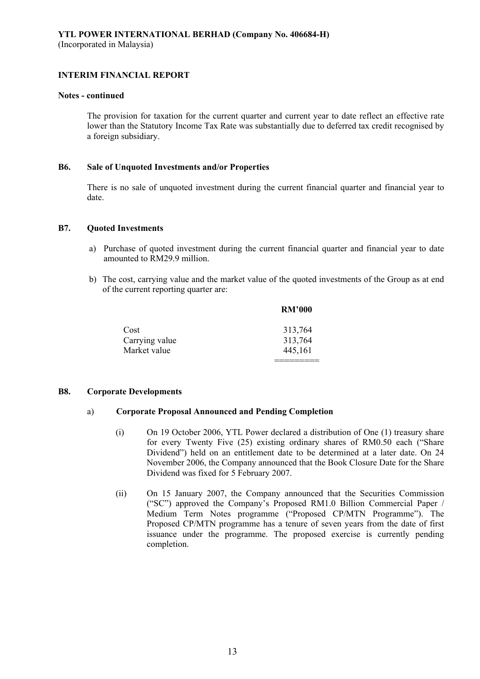### **Notes - continued**

The provision for taxation for the current quarter and current year to date reflect an effective rate lower than the Statutory Income Tax Rate was substantially due to deferred tax credit recognised by a foreign subsidiary.

### **B6. Sale of Unquoted Investments and/or Properties**

There is no sale of unquoted investment during the current financial quarter and financial year to date.

### **B7. Quoted Investments**

- a) Purchase of quoted investment during the current financial quarter and financial year to date amounted to RM29.9 million.
- b) The cost, carrying value and the market value of the quoted investments of the Group as at end of the current reporting quarter are:

|                | <b>RM'000</b> |
|----------------|---------------|
| Cost           | 313,764       |
| Carrying value | 313,764       |
| Market value   | 445,161       |
|                |               |

#### **B8. Corporate Developments**

# a) **Corporate Proposal Announced and Pending Completion**

- (i) On 19 October 2006, YTL Power declared a distribution of One (1) treasury share for every Twenty Five (25) existing ordinary shares of RM0.50 each ("Share Dividend") held on an entitlement date to be determined at a later date. On 24 November 2006, the Company announced that the Book Closure Date for the Share Dividend was fixed for 5 February 2007.
- (ii) On 15 January 2007, the Company announced that the Securities Commission ("SC") approved the Company's Proposed RM1.0 Billion Commercial Paper / Medium Term Notes programme ("Proposed CP/MTN Programme"). The Proposed CP/MTN programme has a tenure of seven years from the date of first issuance under the programme. The proposed exercise is currently pending completion.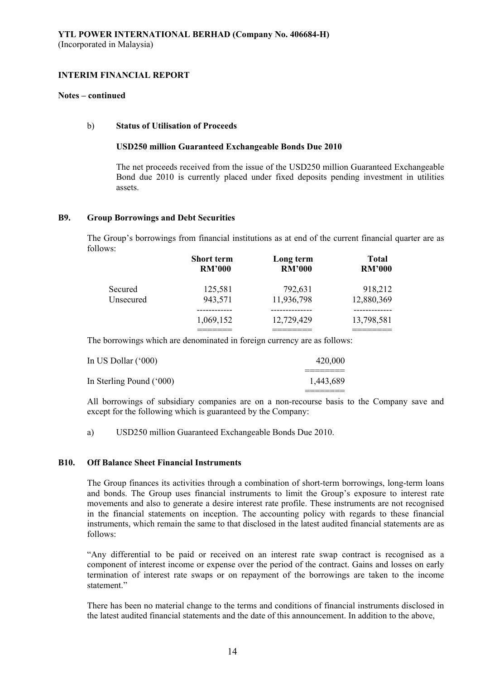### **Notes – continued**

### b) **Status of Utilisation of Proceeds**

### **USD250 million Guaranteed Exchangeable Bonds Due 2010**

The net proceeds received from the issue of the USD250 million Guaranteed Exchangeable Bond due 2010 is currently placed under fixed deposits pending investment in utilities assets.

### **B9. Group Borrowings and Debt Securities**

 The Group's borrowings from financial institutions as at end of the current financial quarter are as follows:

|           | <b>Short term</b> | Long term     | <b>Total</b>  |
|-----------|-------------------|---------------|---------------|
|           | <b>RM'000</b>     | <b>RM'000</b> | <b>RM'000</b> |
| Secured   | 125,581           | 792,631       | 918,212       |
| Unsecured | 943,571           | 11,936,798    | 12,880,369    |
|           | 1,069,152         | 12,729,429    | 13,798,581    |

The borrowings which are denominated in foreign currency are as follows:

| In US Dollar $(600)$     | 420,000   |
|--------------------------|-----------|
| In Sterling Pound ('000) | 1,443,689 |

All borrowings of subsidiary companies are on a non-recourse basis to the Company save and except for the following which is guaranteed by the Company:

a) USD250 million Guaranteed Exchangeable Bonds Due 2010.

### **B10. Off Balance Sheet Financial Instruments**

 The Group finances its activities through a combination of short-term borrowings, long-term loans and bonds. The Group uses financial instruments to limit the Group's exposure to interest rate movements and also to generate a desire interest rate profile. These instruments are not recognised in the financial statements on inception. The accounting policy with regards to these financial instruments, which remain the same to that disclosed in the latest audited financial statements are as follows:

 "Any differential to be paid or received on an interest rate swap contract is recognised as a component of interest income or expense over the period of the contract. Gains and losses on early termination of interest rate swaps or on repayment of the borrowings are taken to the income statement."

 There has been no material change to the terms and conditions of financial instruments disclosed in the latest audited financial statements and the date of this announcement. In addition to the above,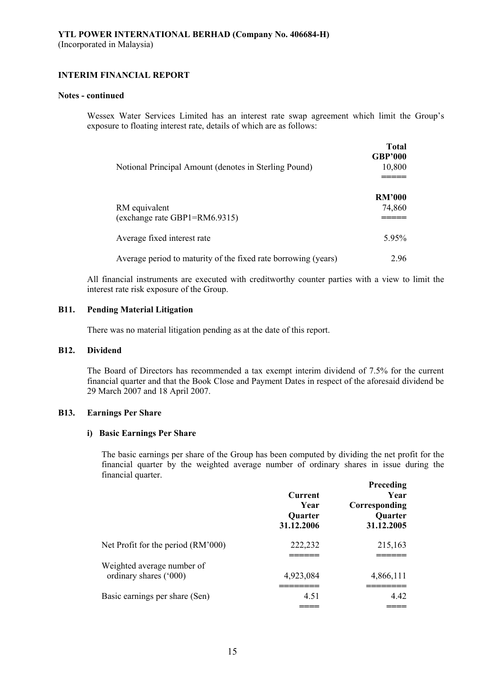### **Notes - continued**

 Wessex Water Services Limited has an interest rate swap agreement which limit the Group's exposure to floating interest rate, details of which are as follows:

|                                                                | <b>Total</b><br><b>GBP'000</b> |
|----------------------------------------------------------------|--------------------------------|
| Notional Principal Amount (denotes in Sterling Pound)          | 10,800                         |
|                                                                | <b>RM'000</b>                  |
| RM equivalent<br>(exchange rate GBP1=RM6.9315)                 | 74,860                         |
| Average fixed interest rate                                    | 5.95%                          |
| Average period to maturity of the fixed rate borrowing (years) | 296                            |

All financial instruments are executed with creditworthy counter parties with a view to limit the interest rate risk exposure of the Group.

# **B11. Pending Material Litigation**

There was no material litigation pending as at the date of this report.

#### **B12. Dividend**

 The Board of Directors has recommended a tax exempt interim dividend of 7.5% for the current financial quarter and that the Book Close and Payment Dates in respect of the aforesaid dividend be 29 March 2007 and 18 April 2007.

# **B13. Earnings Per Share**

### **i) Basic Earnings Per Share**

The basic earnings per share of the Group has been computed by dividing the net profit for the financial quarter by the weighted average number of ordinary shares in issue during the financial quarter.

|                                                      | Current<br>Year<br>Quarter<br>31.12.2006 | <b>Preceding</b><br>Year<br>Corresponding<br>Quarter<br>31.12.2005 |
|------------------------------------------------------|------------------------------------------|--------------------------------------------------------------------|
| Net Profit for the period (RM'000)                   | 222,232                                  | 215,163                                                            |
| Weighted average number of<br>ordinary shares ('000) | 4,923,084                                | 4,866,111                                                          |
| Basic earnings per share (Sen)                       | 4.51                                     | 4.42                                                               |